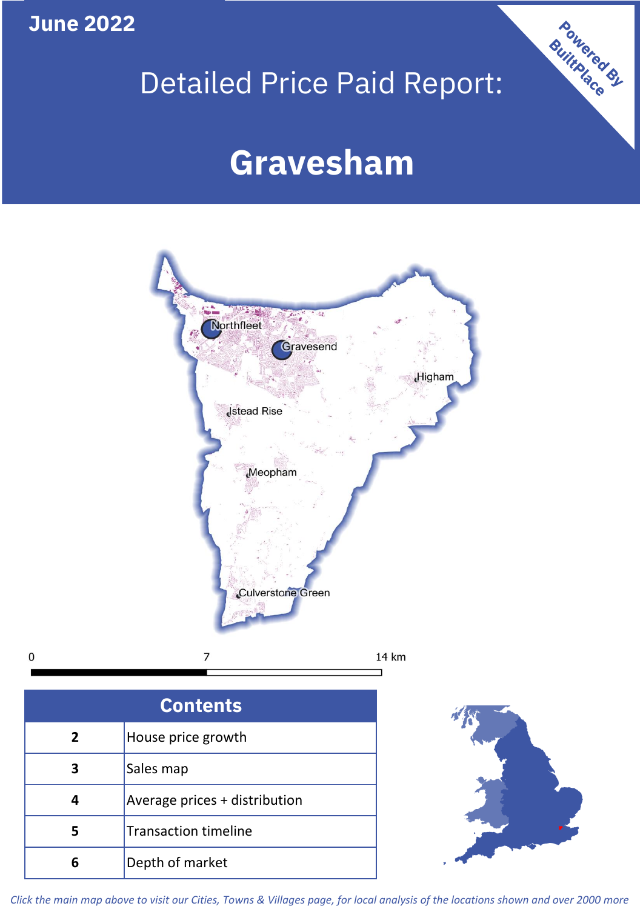## **June 2022**

# Detailed Price Paid Report:

## **Gravesham**



 $\mathbf 0$ 7

| <b>Contents</b> |                               |  |  |
|-----------------|-------------------------------|--|--|
| $\overline{2}$  | House price growth            |  |  |
| 3               | Sales map                     |  |  |
|                 | Average prices + distribution |  |  |
| 5               | <b>Transaction timeline</b>   |  |  |
|                 | Depth of market               |  |  |



Powered By

*Click the main map above to visit our Cities, Towns & Villages page, for local analysis of the locations shown and over 2000 more*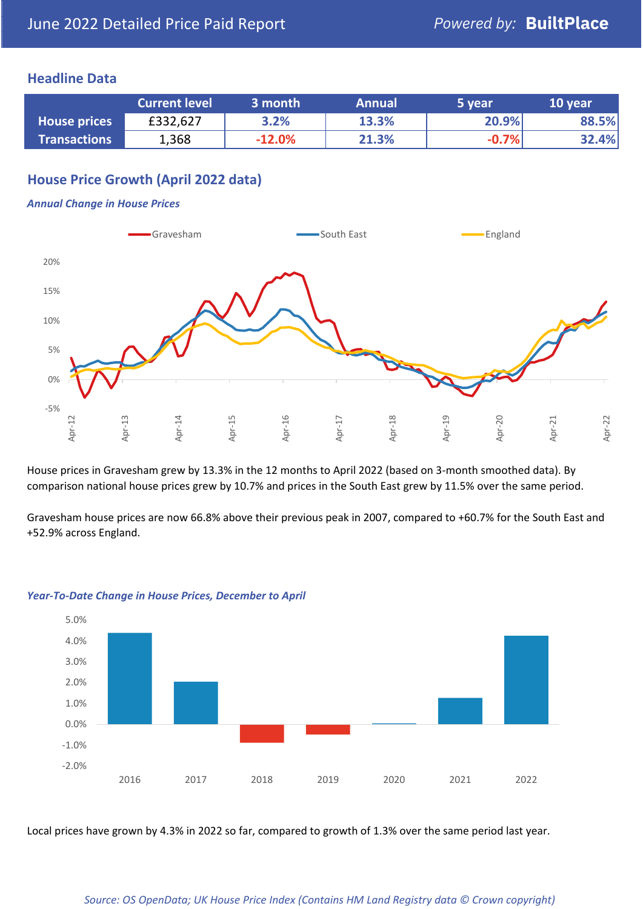### **Headline Data**

|                     | <b>Current level</b> | 3 month  | <b>Annual</b> | 5 year  | 10 year |
|---------------------|----------------------|----------|---------------|---------|---------|
| <b>House prices</b> | £332,627             | 3.2%     | 13.3%         | 20.9%   | 88.5%   |
| <b>Transactions</b> | 1,368                | $-12.0%$ | 21.3%         | $-0.7%$ | 32.4%   |

## **House Price Growth (April 2022 data)**

#### *Annual Change in House Prices*



House prices in Gravesham grew by 13.3% in the 12 months to April 2022 (based on 3-month smoothed data). By comparison national house prices grew by 10.7% and prices in the South East grew by 11.5% over the same period.

Gravesham house prices are now 66.8% above their previous peak in 2007, compared to +60.7% for the South East and +52.9% across England.



#### *Year-To-Date Change in House Prices, December to April*

Local prices have grown by 4.3% in 2022 so far, compared to growth of 1.3% over the same period last year.

#### *Source: OS OpenData; UK House Price Index (Contains HM Land Registry data © Crown copyright)*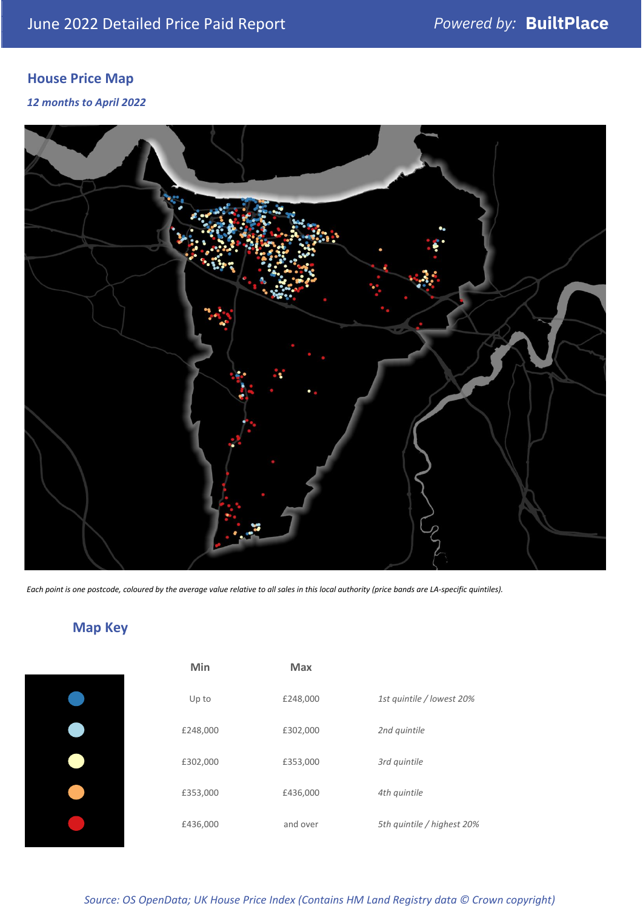## **House Price Map**

*12 months to April 2022*



*Each point is one postcode, coloured by the average value relative to all sales in this local authority (price bands are LA-specific quintiles).*

## **Map Key**

| Min      |
|----------|
| Up to    |
| £248,000 |
| £302,000 |
| £353,000 |
| £436,000 |
|          |

| Min      | <b>Max</b> |                            |
|----------|------------|----------------------------|
| Up to    | £248,000   | 1st quintile / lowest 20%  |
| £248,000 | £302,000   | 2nd quintile               |
| £302,000 | £353,000   | 3rd quintile               |
| £353,000 | £436,000   | 4th quintile               |
| £436,000 | and over   | 5th quintile / highest 20% |

*Source: OS OpenData; UK House Price Index (Contains HM Land Registry data © Crown copyright)*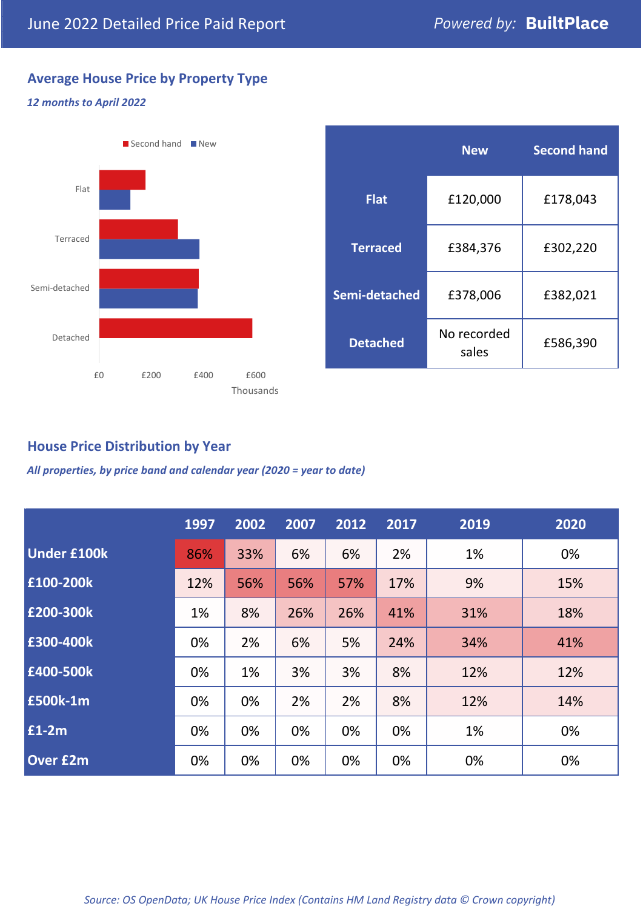## **Average House Price by Property Type**

#### *12 months to April 2022*



## **House Price Distribution by Year**

*All properties, by price band and calendar year (2020 = year to date)*

|                    | 1997 | 2002 | 2007 | 2012 | 2017 | 2019 | 2020 |
|--------------------|------|------|------|------|------|------|------|
| <b>Under £100k</b> | 86%  | 33%  | 6%   | 6%   | 2%   | 1%   | 0%   |
| £100-200k          | 12%  | 56%  | 56%  | 57%  | 17%  | 9%   | 15%  |
| £200-300k          | 1%   | 8%   | 26%  | 26%  | 41%  | 31%  | 18%  |
| £300-400k          | 0%   | 2%   | 6%   | 5%   | 24%  | 34%  | 41%  |
| £400-500k          | 0%   | 1%   | 3%   | 3%   | 8%   | 12%  | 12%  |
| £500k-1m           | 0%   | 0%   | 2%   | 2%   | 8%   | 12%  | 14%  |
| £1-2m              | 0%   | 0%   | 0%   | 0%   | 0%   | 1%   | 0%   |
| <b>Over £2m</b>    | 0%   | 0%   | 0%   | 0%   | 0%   | 0%   | 0%   |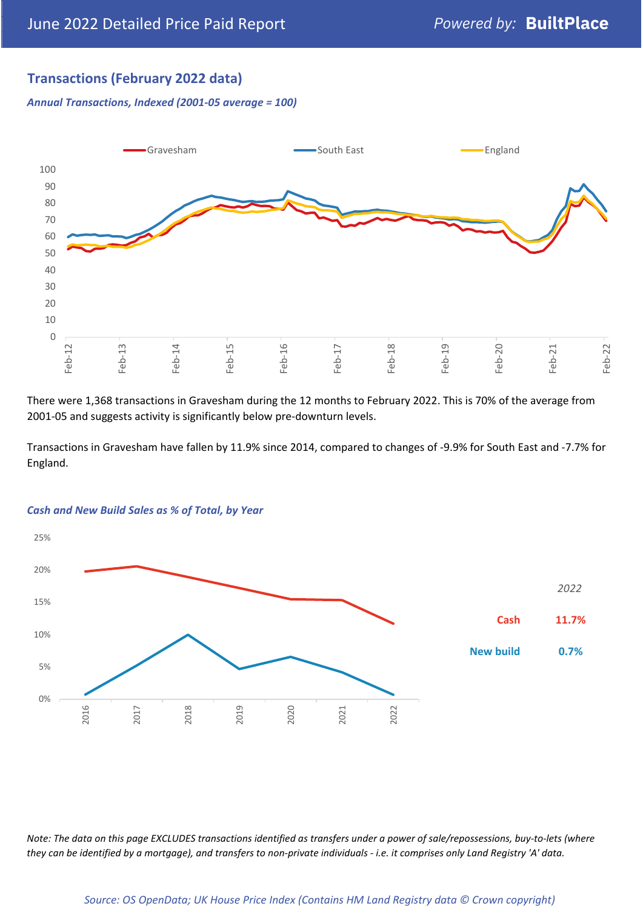## **Transactions (February 2022 data)**

*Annual Transactions, Indexed (2001-05 average = 100)*



There were 1,368 transactions in Gravesham during the 12 months to February 2022. This is 70% of the average from 2001-05 and suggests activity is significantly below pre-downturn levels.

Transactions in Gravesham have fallen by 11.9% since 2014, compared to changes of -9.9% for South East and -7.7% for England.



#### *Cash and New Build Sales as % of Total, by Year*

*Note: The data on this page EXCLUDES transactions identified as transfers under a power of sale/repossessions, buy-to-lets (where they can be identified by a mortgage), and transfers to non-private individuals - i.e. it comprises only Land Registry 'A' data.*